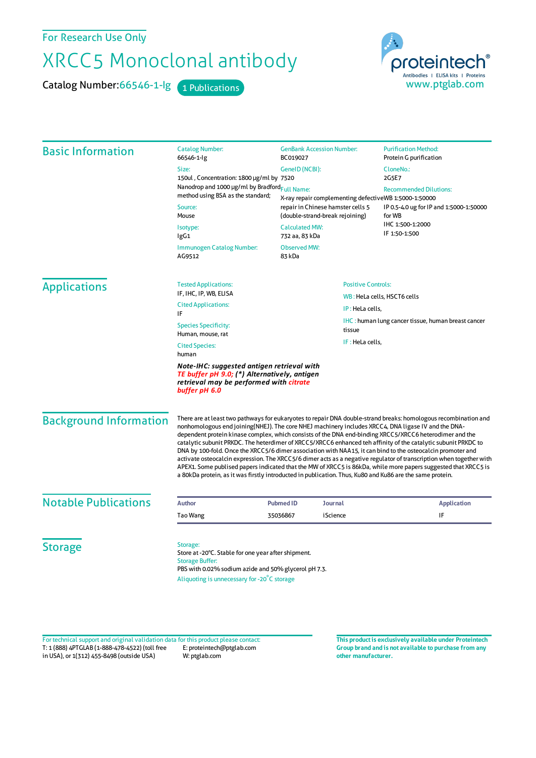For Research Use Only

## XRCC5 Monoclonal antibody

Catalog Number: 66546-1-lg 1 Publications



| <b>Basic Information</b>      | <b>Catalog Number:</b><br>66546-1-lg                                                                                                                                                                                                                                                                                                                                                                                                                                                                                                                                                                                                                                                                                                                                                                                                                                                                                    | <b>GenBank Accession Number:</b><br>BC019027                                               | <b>Purification Method:</b><br>Protein G purification                    |  |
|-------------------------------|-------------------------------------------------------------------------------------------------------------------------------------------------------------------------------------------------------------------------------------------------------------------------------------------------------------------------------------------------------------------------------------------------------------------------------------------------------------------------------------------------------------------------------------------------------------------------------------------------------------------------------------------------------------------------------------------------------------------------------------------------------------------------------------------------------------------------------------------------------------------------------------------------------------------------|--------------------------------------------------------------------------------------------|--------------------------------------------------------------------------|--|
|                               | Size:<br>150ul, Concentration: 1800 µg/ml by 7520<br>Nanodrop and 1000 µg/ml by Bradford <sub>Full Name:</sub><br>method using BSA as the standard;<br>Source:<br>Mouse<br>Isotype:<br>IgG1                                                                                                                                                                                                                                                                                                                                                                                                                                                                                                                                                                                                                                                                                                                             | GeneID (NCBI):                                                                             | CloneNo.:<br>2G5E7                                                       |  |
|                               |                                                                                                                                                                                                                                                                                                                                                                                                                                                                                                                                                                                                                                                                                                                                                                                                                                                                                                                         | X-ray repair complementing defectiveWB 1:5000-1:50000<br>repair in Chinese hamster cells 5 | <b>Recommended Dilutions:</b><br>IP 0.5-4.0 ug for IP and 1:5000-1:50000 |  |
|                               |                                                                                                                                                                                                                                                                                                                                                                                                                                                                                                                                                                                                                                                                                                                                                                                                                                                                                                                         | (double-strand-break rejoining)                                                            | for WB                                                                   |  |
|                               |                                                                                                                                                                                                                                                                                                                                                                                                                                                                                                                                                                                                                                                                                                                                                                                                                                                                                                                         | <b>Calculated MW:</b><br>732 aa, 83 kDa                                                    | IHC 1:500-1:2000<br>IF 1:50-1:500                                        |  |
|                               | <b>Observed MW:</b><br>Immunogen Catalog Number:<br>AG9512<br>83 kDa                                                                                                                                                                                                                                                                                                                                                                                                                                                                                                                                                                                                                                                                                                                                                                                                                                                    |                                                                                            |                                                                          |  |
| <b>Applications</b>           | <b>Tested Applications:</b>                                                                                                                                                                                                                                                                                                                                                                                                                                                                                                                                                                                                                                                                                                                                                                                                                                                                                             | <b>Positive Controls:</b>                                                                  |                                                                          |  |
|                               | IF, IHC, IP, WB, ELISA<br><b>Cited Applications:</b>                                                                                                                                                                                                                                                                                                                                                                                                                                                                                                                                                                                                                                                                                                                                                                                                                                                                    |                                                                                            | WB: HeLa cells, HSCT6 cells                                              |  |
|                               | IF                                                                                                                                                                                                                                                                                                                                                                                                                                                                                                                                                                                                                                                                                                                                                                                                                                                                                                                      |                                                                                            | IP: HeLa cells,                                                          |  |
|                               | <b>Species Specificity:</b><br>Human, mouse, rat                                                                                                                                                                                                                                                                                                                                                                                                                                                                                                                                                                                                                                                                                                                                                                                                                                                                        | tissue                                                                                     | IHC: human lung cancer tissue, human breast cancer                       |  |
|                               | IF: HeLa cells,<br><b>Cited Species:</b><br>human                                                                                                                                                                                                                                                                                                                                                                                                                                                                                                                                                                                                                                                                                                                                                                                                                                                                       |                                                                                            |                                                                          |  |
|                               | Note-IHC: suggested antigen retrieval with<br>TE buffer pH 9.0; (*) Alternatively, antigen<br>retrieval may be performed with citrate<br>buffer pH 6.0                                                                                                                                                                                                                                                                                                                                                                                                                                                                                                                                                                                                                                                                                                                                                                  |                                                                                            |                                                                          |  |
| <b>Background Information</b> | There are at least two pathways for eukaryotes to repair DNA double-strand breaks: homologous recombination and<br>nonhomologous end joining(NHEJ). The core NHEJ machinery includes XRCC4, DNA ligase IV and the DNA-<br>dependent protein kinase complex, which consists of the DNA end-binding XRCC5/XRCC6 heterodimer and the<br>catalytic subunit PRKDC. The heterdimer of XRCC5/XRCC6 enhanced teh affinity of the catalytic subunit PRKDC to<br>DNA by 100-fold. Once the XRCC5/6 dimer association with NAA15, it can bind to the osteocalcin promoter and<br>activate osteocalcin expression. The XRCC5/6 dimer acts as a negative regulator of transcription when together with<br>APEX1. Some publised papers indicated that the MW of XRCC5 is 86kDa, while more papers suggested that XRCC5 is<br>a 80kDa protein, as it was firstly introducted in publication. Thus, Ku80 and Ku86 are the same protein. |                                                                                            |                                                                          |  |
| <b>Notable Publications</b>   | <b>Author</b>                                                                                                                                                                                                                                                                                                                                                                                                                                                                                                                                                                                                                                                                                                                                                                                                                                                                                                           | <b>Pubmed ID</b><br><b>Journal</b>                                                         | <b>Application</b>                                                       |  |
|                               | Tao Wang                                                                                                                                                                                                                                                                                                                                                                                                                                                                                                                                                                                                                                                                                                                                                                                                                                                                                                                | iScience<br>35036867                                                                       | IF                                                                       |  |
| <b>Storage</b>                | Storage:<br>Store at -20°C. Stable for one year after shipment.<br><b>Storage Buffer:</b><br>PBS with 0.02% sodium azide and 50% glycerol pH 7.3.<br>Aliquoting is unnecessary for -20°C storage                                                                                                                                                                                                                                                                                                                                                                                                                                                                                                                                                                                                                                                                                                                        |                                                                                            |                                                                          |  |

T: 1 (888) 4PTGLAB (1-888-478-4522) (toll free in USA), or 1(312) 455-8498 (outside USA) E: proteintech@ptglab.com W: ptglab.com Fortechnical support and original validation data forthis product please contact: **This productis exclusively available under Proteintech**

**Group brand and is not available to purchase from any other manufacturer.**